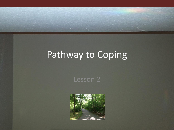## Pathway to Coping

#### Lesson 2

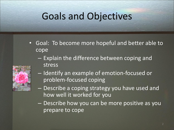# Goals and Objectives

- Goal: To become more hopeful and better able to cope
	- Explain the difference between coping and stress



- Identify an example of emotion-focused or problem-focused coping
- Describe a coping strategy you have used and how well it worked for you
- Describe how you can be more positive as you prepare to cope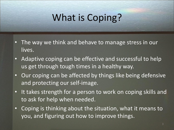# What is Coping?

- The way we think and behave to manage stress in our lives.
- Adaptive coping can be effective and successful to help us get through tough times in a healthy way.
- Our coping can be affected by things like being defensive and protecting our self-image.
- It takes strength for a person to work on coping skills and to ask for help when needed.
- Coping is thinking about the situation, what it means to you, and figuring out how to improve things.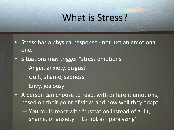## What is Stress?

- Stress has a physical response not just an emotional one.
- Situations may trigger "stress emotions"
	- Anger, anxiety, disgust
	- Guilt, shame, sadness
	- Envy, jealousy
- A person can choose to react with different emotions, based on their point of view, and how well they adapt
	- You could react with frustration instead of guilt, shame, or anxiety – It's not as "paralyzing"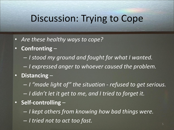#### Discussion: Trying to Cope

- *Are these healthy ways to cope?*
- **Confronting**
	- *I stood my ground and fought for what I wanted.*
	- *I expressed anger to whoever caused the problem.*
- **Distancing**
	- *I "made light of" the situation - refused to get serious.*
	- *I didn't let it get to me, and I tried to forget it.*
- **Self-controlling**
	- *I kept others from knowing how bad things were.*
	- *I tried not to act too fast.*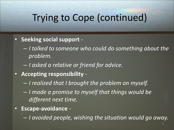#### Trying to Cope (continued)

- **Seeking social support** 
	- *I talked to someone who could do something about the problem.*
	- *I asked a relative or friend for advice.*
- **Accepting responsibility** 
	- *I realized that I brought the problem on myself.*
	- *I made a promise to myself that things would be different next time.*
- **Escape-avoidance** 
	- *I avoided people, wishing the situation would go away.*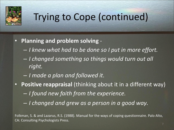

# Trying to Cope (continued)

#### • **Planning and problem solving** -

- *I knew what had to be done so I put in more effort.*
- *I changed something so things would turn out all right.*
- *I made a plan and followed it.*
- **Positive reappraisal** (thinking about it in a different way) – *I found new faith from the experience.*
	- *I changed and grew as a person in a good way.*

Folkman, S. & and Lazarus, R.S. (1988). Manual for the ways of coping questionnaire. Palo Alto, CA: Consulting Psychologists Press.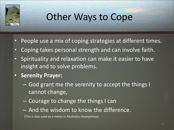

# Other Ways to Cope

- People use a mix of coping strategies at different times.
- Coping takes personal strength and can involve faith.
- Spirituality and relaxation can make it easier to have insight and to solve problems.
- **Serenity Prayer:** 
	- God grant me the serenity to accept the things I cannot change,
	- Courage to change the things I can
	- And the wisdom to know the difference.

(This is also used as a motto in Alcoholics Anonymous)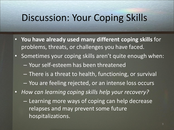#### Discussion: Your Coping Skills

- **You have already used many different coping skills** for problems, threats, or challenges you have faced.
- Sometimes your coping skills aren't quite enough when:
	- Your self-esteem has been threatened
	- There is a threat to health, functioning, or survival
	- You are feeling rejected, or an intense loss occurs
- *How can learning coping skills help your recovery?* 
	- Learning more ways of coping can help decrease relapses and may prevent some future hospitalizations.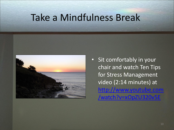### Take a Mindfulness Break



• Sit comfortably in your chair and watch Ten Tips for Stress Management video (2:14 minutes) at [http://www.youtube.com](http://www.youtube.com/watch?v=xOpZU320v5E) [/watch?v=xOpZU320v5E](http://www.youtube.com/watch?v=xOpZU320v5E)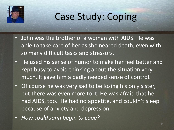

# Case Study: Coping

- John was the brother of a woman with AIDS. He was able to take care of her as she neared death, even with so many difficult tasks and stressors.
- He used his sense of humor to make her feel better and kept busy to avoid thinking about the situation very much. It gave him a badly needed sense of control.
- Of course he was very sad to be losing his only sister, but there was even more to it. He was afraid that he had AIDS, too. He had no appetite, and couldn't sleep because of anxiety and depression.
- *How could John begin to cope?*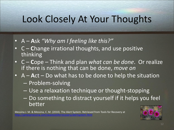# Look Closely At Your Thoughts

- A **A**sk *"Why am I feeling like this?"*
- C **C**hange irrational thoughts, and use positive thinking
- C **C**ope Think and plan *what can be done*. Or realize if there is nothing that can be done, *move on*
- A **A**ct Do what has to be done to help the situation
	- Problem-solving
	- Use a relaxation technique or thought-stopping
	- Do something to distract yourself if it helps you feel better

Messina J. M. & Messina, C. M. (2010). The Alert System. Retrieved from Tools for Recovery at <http://jamesjmessina.com/seastoolsforrecovery/alertsystem.html>

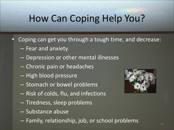# How Can Coping Help You?

- Coping can get you through a tough time, and decrease:
	- Fear and anxiety
	- Depression or other mental illnesses
	- Chronic pain or headaches
	- High blood pressure
	- Stomach or bowel problems
	- Risk of colds, flu, and infections
	- Tiredness, sleep problems
	- Substance abuse
	- Family, relationship, job, or school problems

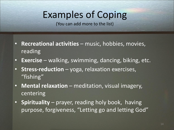# Examples of Coping

(You can add more to the list)

- **Recreational activities**  music, hobbies, movies, reading
- **Exercise**  walking, swimming, dancing, biking, etc.
- **Stress-reduction**  yoga, relaxation exercises, "fishing"
- **Mental relaxation**  meditation, visual imagery, centering
- **Spirituality** prayer, reading holy book, having purpose, forgiveness, "Letting go and letting God"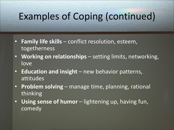# Examples of Coping (continued)

- **Family life skills**  conflict resolution, esteem, togetherness
- **Working on relationships**  setting limits, networking, love
- **Education and insight**  new behavior patterns, attitudes
- **Problem solving** manage time, planning, rational thinking
- **Using sense of humor**  lightening up, having fun, comedy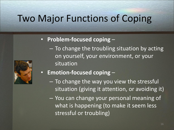# Two Major Functions of Coping

#### • **Problem-focused coping** –



- on yourself, your environment, or your situation
- **Emotion-focused coping** 
	- To change the way you view the stressful situation (giving it attention, or avoiding it)

– To change the troubling situation by acting

– You can change your personal meaning of what is happening (to make it seem less stressful or troubling)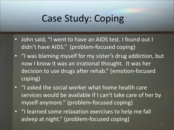#### Case Study: Coping

- John said, "I went to have an AIDS test. I found out I didn't have AIDS." (problem-focused coping)
- "I was blaming myself for my sister's drug addiction, but now I know it was an irrational thought. It was her decision to use drugs after rehab." (emotion-focused coping)
- "I asked the social worker what home health care services would be available if I can't take care of her by myself anymore." (problem-focused coping)
- "I learned some relaxation exercises to help me fall asleep at night." (problem-focused coping)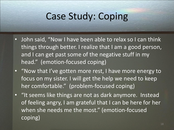# Case Study: Coping

- John said, "Now I have been able to relax so I can think things through better. I realize that I am a good person, and I can get past some of the negative stuff in my head." (emotion-focused coping)
- "Now that I've gotten more rest, I have more energy to focus on my sister. I will get the help we need to keep her comfortable." (problem-focused coping)
- "It seems like things are not as dark anymore. Instead of feeling angry, I am grateful that I can be here for her when she needs me the most." (emotion-focused coping)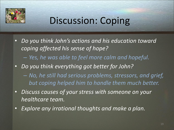

# Discussion: Coping

- *Do you think John's actions and his education toward coping affected his sense of hope?* 
	- *Yes, he was able to feel more calm and hopeful.*
- *Do you think everything got better for John?* 
	- *No, he still had serious problems, stressors, and grief, but coping helped him to handle them much better.*
- *Discuss causes of your stress with someone on your healthcare team.*
- *Explore any irrational thoughts and make a plan.*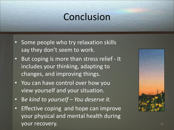## Conclusion

- Some people who try relaxation skills say they don't seem to work.
- But coping is more than stress relief It includes your thinking, adapting to changes, and improving things.
- You can have control over how you view yourself and your situation.
- B*e kind to yourself – You deserve it.*
- Effective coping and hope can improve your physical and mental health during your recovery. The same state of the state of the state of the state of the state of the state of the state of the state of the state of the state of the state of the state of the state of the state of the state of the sta

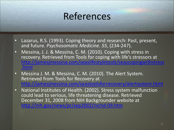# References

- Lazarus, R.S. (1993). Coping theory and research: Past, present, and future. *Psychosomatic Medicine. 55*, (234-247).
- Messina, J. J. & Messina, C. M. (2010). Coping with stress in recovery. Retrieved from Tools for coping with life's stressors at [http://jamesjmessina.com/seaslifestyletools/seascopingwithstress](http://jamesjmessina.com/seaslifestyletools/seascopingwithstress.html) [.html](http://jamesjmessina.com/seaslifestyletools/seascopingwithstress.html)
- Messina J. M. & Messina, C. M. (2010). The Alert System. Retrieved from Tools for Recovery at iamesimessina.com/seastoolsforrecovery/alertsystem.htm
- National Institutes of Health. (2002). Stress system malfunction could lead to serious, life threatening disease. Retrieved December 31, 2008 from NIH Backgrounder website at <http://nih.gov/news/pr/sep2002/nichd-09.htm>